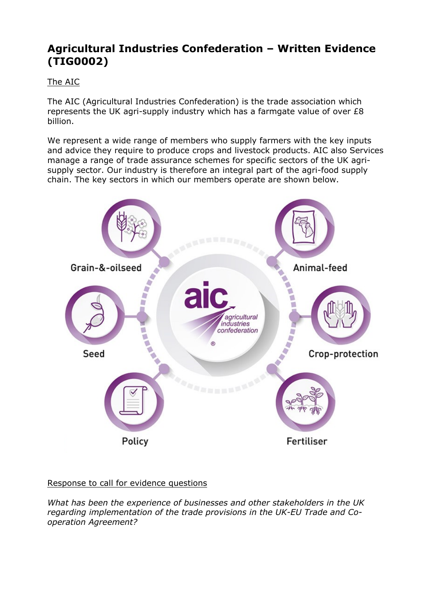# **Agricultural Industries Confederation – Written Evidence (TIG0002)**

# The AIC

The AIC (Agricultural Industries Confederation) is the trade association which represents the UK agri-supply industry which has a farmgate value of over £8 billion.

We represent a wide range of members who supply farmers with the key inputs and advice they require to produce crops and livestock products. AIC also Services manage a range of trade assurance schemes for specific sectors of the UK agrisupply sector. Our industry is therefore an integral part of the agri-food supply chain. The key sectors in which our members operate are shown below.



Response to call for evidence questions

*What has been the experience of businesses and other stakeholders in the UK regarding implementation of the trade provisions in the UK-EU Trade and Cooperation Agreement?*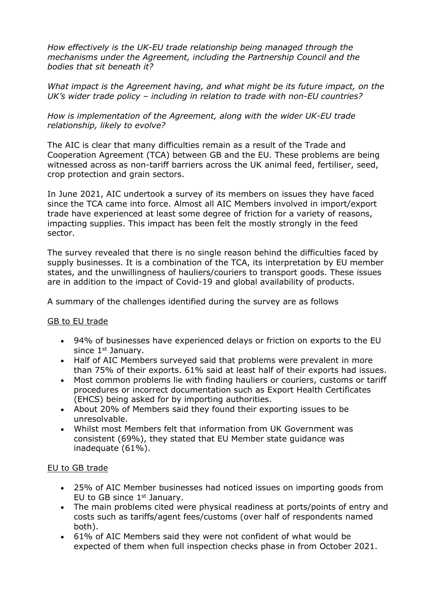*How effectively is the UK-EU trade relationship being managed through the mechanisms under the Agreement, including the Partnership Council and the bodies that sit beneath it?*

*What impact is the Agreement having, and what might be its future impact, on the UK's wider trade policy – including in relation to trade with non-EU countries?*

*How is implementation of the Agreement, along with the wider UK-EU trade relationship, likely to evolve?*

The AIC is clear that many difficulties remain as a result of the Trade and Cooperation Agreement (TCA) between GB and the EU. These problems are being witnessed across as non-tariff barriers across the UK animal feed, fertiliser, seed, crop protection and grain sectors.

In June 2021, AIC undertook a survey of its members on issues they have faced since the TCA came into force. Almost all AIC Members involved in import/export trade have experienced at least some degree of friction for a variety of reasons, impacting supplies. This impact has been felt the mostly strongly in the feed sector.

The survey revealed that there is no single reason behind the difficulties faced by supply businesses. It is a combination of the TCA, its interpretation by EU member states, and the unwillingness of hauliers/couriers to transport goods. These issues are in addition to the impact of Covid-19 and global availability of products.

A summary of the challenges identified during the survey are as follows

#### GB to EU trade

- 94% of businesses have experienced delays or friction on exports to the EU since 1<sup>st</sup> January.
- Half of AIC Members surveyed said that problems were prevalent in more than 75% of their exports. 61% said at least half of their exports had issues.
- Most common problems lie with finding hauliers or couriers, customs or tariff procedures or incorrect documentation such as Export Health Certificates (EHCS) being asked for by importing authorities.
- About 20% of Members said they found their exporting issues to be unresolvable.
- Whilst most Members felt that information from UK Government was consistent (69%), they stated that EU Member state guidance was inadequate (61%).

## EU to GB trade

- 25% of AIC Member businesses had noticed issues on importing goods from EU to GB since 1<sup>st</sup> January.
- The main problems cited were physical readiness at ports/points of entry and costs such as tariffs/agent fees/customs (over half of respondents named both).
- 61% of AIC Members said they were not confident of what would be expected of them when full inspection checks phase in from October 2021.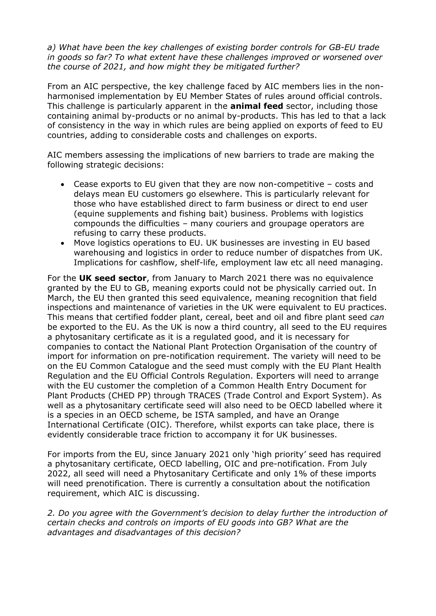*a) What have been the key challenges of existing border controls for GB-EU trade in goods so far? To what extent have these challenges improved or worsened over the course of 2021, and how might they be mitigated further?*

From an AIC perspective, the key challenge faced by AIC members lies in the nonharmonised implementation by EU Member States of rules around official controls. This challenge is particularly apparent in the **animal feed** sector, including those containing animal by-products or no animal by-products. This has led to that a lack of consistency in the way in which rules are being applied on exports of feed to EU countries, adding to considerable costs and challenges on exports.

AIC members assessing the implications of new barriers to trade are making the following strategic decisions:

- Cease exports to EU given that they are now non-competitive costs and delays mean EU customers go elsewhere. This is particularly relevant for those who have established direct to farm business or direct to end user (equine supplements and fishing bait) business. Problems with logistics compounds the difficulties – many couriers and groupage operators are refusing to carry these products.
- Move logistics operations to EU. UK businesses are investing in EU based warehousing and logistics in order to reduce number of dispatches from UK. Implications for cashflow, shelf-life, employment law etc all need managing.

For the **UK seed sector**, from January to March 2021 there was no equivalence granted by the EU to GB, meaning exports could not be physically carried out. In March, the EU then granted this seed equivalence, meaning recognition that field inspections and maintenance of varieties in the UK were equivalent to EU practices. This means that certified fodder plant, cereal, beet and oil and fibre plant seed *can* be exported to the EU. As the UK is now a third country, all seed to the EU requires a phytosanitary certificate as it is a regulated good, and it is necessary for companies to contact the National Plant Protection Organisation of the country of import for information on pre-notification requirement. The variety will need to be on the EU Common Catalogue and the seed must comply with the EU Plant Health Regulation and the EU Official Controls Regulation. Exporters will need to arrange with the EU customer the completion of a Common Health Entry Document for Plant Products (CHED PP) through TRACES (Trade Control and Export System). As well as a phytosanitary certificate seed will also need to be OECD labelled where it is a species in an OECD scheme, be ISTA sampled, and have an Orange International Certificate (OIC). Therefore, whilst exports can take place, there is evidently considerable trace friction to accompany it for UK businesses.

For imports from the EU, since January 2021 only 'high priority' seed has required a phytosanitary certificate, OECD labelling, OIC and pre-notification. From July 2022, all seed will need a Phytosanitary Certificate and only 1% of these imports will need prenotification. There is currently a consultation about the notification requirement, which AIC is discussing.

*2. Do you agree with the Government's decision to delay further the introduction of certain checks and controls on imports of EU goods into GB? What are the advantages and disadvantages of this decision?*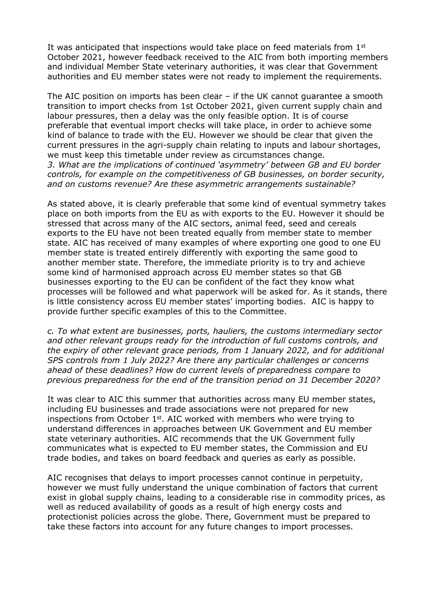It was anticipated that inspections would take place on feed materials from  $1<sup>st</sup>$ October 2021, however feedback received to the AIC from both importing members and individual Member State veterinary authorities, it was clear that Government authorities and EU member states were not ready to implement the requirements.

The AIC position on imports has been clear – if the UK cannot guarantee a smooth transition to import checks from 1st October 2021, given current supply chain and labour pressures, then a delay was the only feasible option. It is of course preferable that eventual import checks will take place, in order to achieve some kind of balance to trade with the EU. However we should be clear that given the current pressures in the agri-supply chain relating to inputs and labour shortages, we must keep this timetable under review as circumstances change. *3. What are the implications of continued 'asymmetry' between GB and EU border controls, for example on the competitiveness of GB businesses, on border security, and on customs revenue? Are these asymmetric arrangements sustainable?*

As stated above, it is clearly preferable that some kind of eventual symmetry takes place on both imports from the EU as with exports to the EU. However it should be stressed that across many of the AIC sectors, animal feed, seed and cereals exports to the EU have not been treated equally from member state to member state. AIC has received of many examples of where exporting one good to one EU member state is treated entirely differently with exporting the same good to another member state. Therefore, the immediate priority is to try and achieve some kind of harmonised approach across EU member states so that GB businesses exporting to the EU can be confident of the fact they know what processes will be followed and what paperwork will be asked for. As it stands, there is little consistency across EU member states' importing bodies. AIC is happy to provide further specific examples of this to the Committee.

*c. To what extent are businesses, ports, hauliers, the customs intermediary sector and other relevant groups ready for the introduction of full customs controls, and the expiry of other relevant grace periods, from 1 January 2022, and for additional SPS controls from 1 July 2022? Are there any particular challenges or concerns ahead of these deadlines? How do current levels of preparedness compare to previous preparedness for the end of the transition period on 31 December 2020?*

It was clear to AIC this summer that authorities across many EU member states, including EU businesses and trade associations were not prepared for new inspections from October  $1<sup>st</sup>$ . AIC worked with members who were trying to understand differences in approaches between UK Government and EU member state veterinary authorities. AIC recommends that the UK Government fully communicates what is expected to EU member states, the Commission and EU trade bodies, and takes on board feedback and queries as early as possible.

AIC recognises that delays to import processes cannot continue in perpetuity, however we must fully understand the unique combination of factors that current exist in global supply chains, leading to a considerable rise in commodity prices, as well as reduced availability of goods as a result of high energy costs and protectionist policies across the globe. There, Government must be prepared to take these factors into account for any future changes to import processes.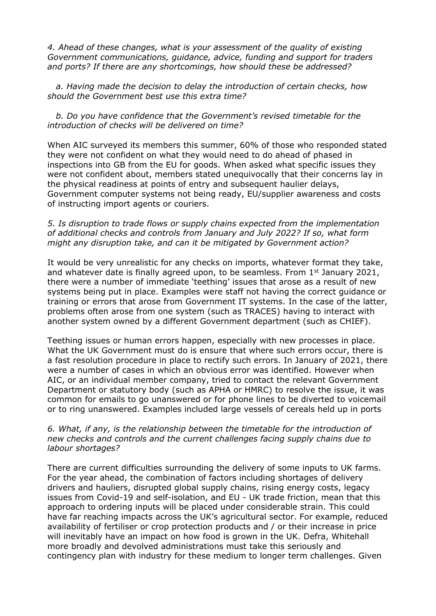*4. Ahead of these changes, what is your assessment of the quality of existing Government communications, guidance, advice, funding and support for traders and ports? If there are any shortcomings, how should these be addressed?*

 *a. Having made the decision to delay the introduction of certain checks, how should the Government best use this extra time?*

 *b. Do you have confidence that the Government's revised timetable for the introduction of checks will be delivered on time?*

When AIC surveyed its members this summer, 60% of those who responded stated they were not confident on what they would need to do ahead of phased in inspections into GB from the EU for goods. When asked what specific issues they were not confident about, members stated unequivocally that their concerns lay in the physical readiness at points of entry and subsequent haulier delays, Government computer systems not being ready, EU/supplier awareness and costs of instructing import agents or couriers.

#### *5. Is disruption to trade flows or supply chains expected from the implementation of additional checks and controls from January and July 2022? If so, what form might any disruption take, and can it be mitigated by Government action?*

It would be very unrealistic for any checks on imports, whatever format they take, and whatever date is finally agreed upon, to be seamless. From 1<sup>st</sup> January 2021, there were a number of immediate 'teething' issues that arose as a result of new systems being put in place. Examples were staff not having the correct guidance or training or errors that arose from Government IT systems. In the case of the latter, problems often arose from one system (such as TRACES) having to interact with another system owned by a different Government department (such as CHIEF).

Teething issues or human errors happen, especially with new processes in place. What the UK Government must do is ensure that where such errors occur, there is a fast resolution procedure in place to rectify such errors. In January of 2021, there were a number of cases in which an obvious error was identified. However when AIC, or an individual member company, tried to contact the relevant Government Department or statutory body (such as APHA or HMRC) to resolve the issue, it was common for emails to go unanswered or for phone lines to be diverted to voicemail or to ring unanswered. Examples included large vessels of cereals held up in ports

### *6. What, if any, is the relationship between the timetable for the introduction of new checks and controls and the current challenges facing supply chains due to labour shortages?*

There are current difficulties surrounding the delivery of some inputs to UK farms. For the year ahead, the combination of factors including shortages of delivery drivers and hauliers, disrupted global supply chains, rising energy costs, legacy issues from Covid-19 and self-isolation, and EU - UK trade friction, mean that this approach to ordering inputs will be placed under considerable strain. This could have far reaching impacts across the UK's agricultural sector. For example, reduced availability of fertiliser or crop protection products and / or their increase in price will inevitably have an impact on how food is grown in the UK. Defra, Whitehall more broadly and devolved administrations must take this seriously and contingency plan with industry for these medium to longer term challenges. Given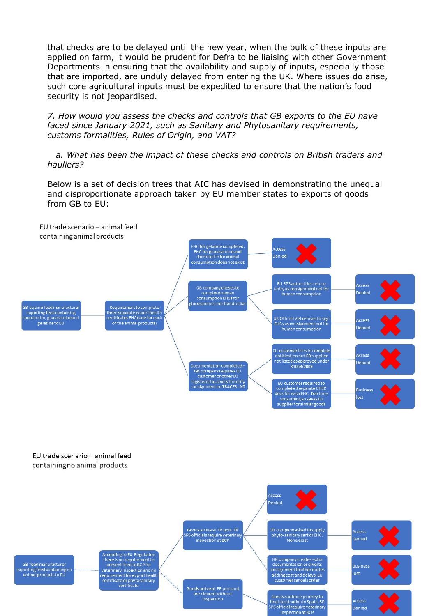that checks are to be delayed until the new year, when the bulk of these inputs are applied on farm, it would be prudent for Defra to be liaising with other Government Departments in ensuring that the availability and supply of inputs, especially those that are imported, are unduly delayed from entering the UK. Where issues do arise, such core agricultural inputs must be expedited to ensure that the nation's food security is not jeopardised.

*7. How would you assess the checks and controls that GB exports to the EU have faced since January 2021, such as Sanitary and Phytosanitary requirements, customs formalities, Rules of Origin, and VAT?*

 *a. What has been the impact of these checks and controls on British traders and hauliers?*

Below is a set of decision trees that AIC has devised in demonstrating the unequal and disproportionate approach taken by EU member states to exports of goods from GB to EU:

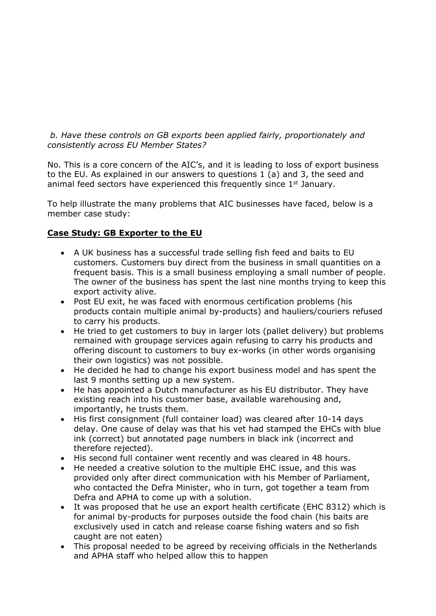*b. Have these controls on GB exports been applied fairly, proportionately and consistently across EU Member States?*

No. This is a core concern of the AIC's, and it is leading to loss of export business to the EU. As explained in our answers to questions 1 (a) and 3, the seed and animal feed sectors have experienced this frequently since 1<sup>st</sup> January.

To help illustrate the many problems that AIC businesses have faced, below is a member case study:

## **Case Study: GB Exporter to the EU**

- A UK business has a successful trade selling fish feed and baits to EU customers. Customers buy direct from the business in small quantities on a frequent basis. This is a small business employing a small number of people. The owner of the business has spent the last nine months trying to keep this export activity alive.
- Post EU exit, he was faced with enormous certification problems (his products contain multiple animal by-products) and hauliers/couriers refused to carry his products.
- He tried to get customers to buy in larger lots (pallet delivery) but problems remained with groupage services again refusing to carry his products and offering discount to customers to buy ex-works (in other words organising their own logistics) was not possible.
- He decided he had to change his export business model and has spent the last 9 months setting up a new system.
- He has appointed a Dutch manufacturer as his EU distributor. They have existing reach into his customer base, available warehousing and, importantly, he trusts them.
- His first consignment (full container load) was cleared after 10-14 days delay. One cause of delay was that his vet had stamped the EHCs with blue ink (correct) but annotated page numbers in black ink (incorrect and therefore rejected).
- His second full container went recently and was cleared in 48 hours.
- He needed a creative solution to the multiple EHC issue, and this was provided only after direct communication with his Member of Parliament, who contacted the Defra Minister, who in turn, got together a team from Defra and APHA to come up with a solution.
- It was proposed that he use an export health certificate (EHC 8312) which is for animal by-products for purposes outside the food chain (his baits are exclusively used in catch and release coarse fishing waters and so fish caught are not eaten)
- This proposal needed to be agreed by receiving officials in the Netherlands and APHA staff who helped allow this to happen